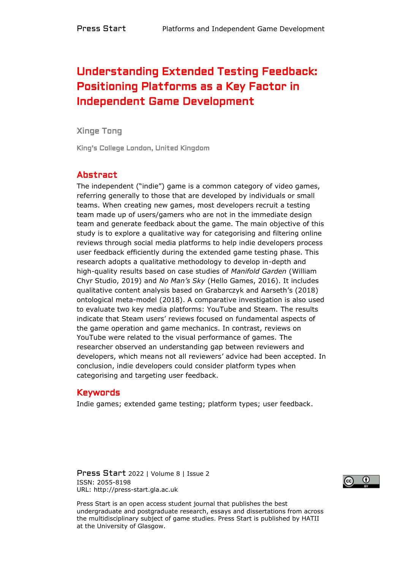# Understanding Extended Testing Feedback: Positioning Platforms as a Key Factor in Independent Game Development

#### Xinge Tong

King's College London, United Kingdom

#### Abstract

The independent ("indie") game is a common category of video games, referring generally to those that are developed by individuals or small teams. When creating new games, most developers recruit a testing team made up of users/gamers who are not in the immediate design team and generate feedback about the game. The main objective of this study is to explore a qualitative way for categorising and filtering online reviews through social media platforms to help indie developers process user feedback efficiently during the extended game testing phase. This research adopts a qualitative methodology to develop in-depth and high-quality results based on case studies of *Manifold Garden* (William Chyr Studio, 2019) and *No Man's Sky* (Hello Games, 2016). It includes qualitative content analysis based on Grabarczyk and Aarseth's (2018) ontological meta-model (2018). A comparative investigation is also used to evaluate two key media platforms: YouTube and Steam. The results indicate that Steam users' reviews focused on fundamental aspects of the game operation and game mechanics. In contrast, reviews on YouTube were related to the visual performance of games. The researcher observed an understanding gap between reviewers and developers, which means not all reviewers' advice had been accepted. In conclusion, indie developers could consider platform types when categorising and targeting user feedback.

#### Keywords

Indie games; extended game testing; platform types; user feedback.

Press Start 2022 | Volume 8 | Issue 2 ISSN: 2055-8198 URL: http://press-start.gla.ac.uk



Press Start is an open access student journal that publishes the best undergraduate and postgraduate research, essays and dissertations from across the multidisciplinary subject of game studies. Press Start is published by HATII at the University of Glasgow.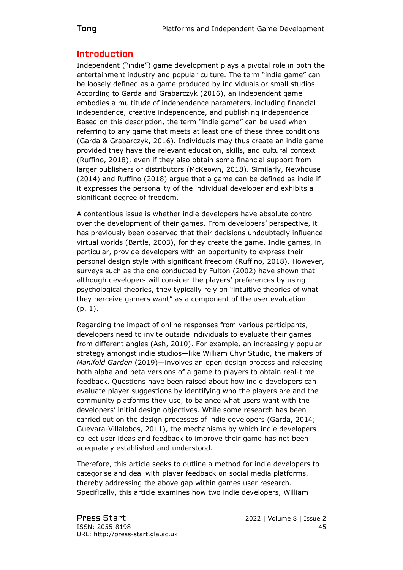# Introduction

Independent ("indie") game development plays a pivotal role in both the entertainment industry and popular culture. The term "indie game" can be loosely defined as a game produced by individuals or small studios. According to Garda and Grabarczyk (2016), an independent game embodies a multitude of independence parameters, including financial independence, creative independence, and publishing independence. Based on this description, the term "indie game" can be used when referring to any game that meets at least one of these three conditions (Garda & Grabarczyk, 2016). Individuals may thus create an indie game provided they have the relevant education, skills, and cultural context (Ruffino, 2018), even if they also obtain some financial support from larger publishers or distributors (McKeown, 2018). Similarly, Newhouse (2014) and Ruffino (2018) argue that a game can be defined as indie if it expresses the personality of the individual developer and exhibits a significant degree of freedom.

A contentious issue is whether indie developers have absolute control over the development of their games. From developers' perspective, it has previously been observed that their decisions undoubtedly influence virtual worlds (Bartle, 2003), for they create the game. Indie games, in particular, provide developers with an opportunity to express their personal design style with significant freedom (Ruffino, 2018). However, surveys such as the one conducted by Fulton (2002) have shown that although developers will consider the players' preferences by using psychological theories, they typically rely on "intuitive theories of what they perceive gamers want" as a component of the user evaluation (p. 1).

Regarding the impact of online responses from various participants, developers need to invite outside individuals to evaluate their games from different angles (Ash, 2010). For example, an increasingly popular strategy amongst indie studios—like William Chyr Studio, the makers of *Manifold Garden* (2019)—involves an open design process and releasing both alpha and beta versions of a game to players to obtain real-time feedback. Questions have been raised about how indie developers can evaluate player suggestions by identifying who the players are and the community platforms they use, to balance what users want with the developers' initial design objectives. While some research has been carried out on the design processes of indie developers (Garda, 2014; Guevara-Villalobos, 2011), the mechanisms by which indie developers collect user ideas and feedback to improve their game has not been adequately established and understood.

Therefore, this article seeks to outline a method for indie developers to categorise and deal with player feedback on social media platforms, thereby addressing the above gap within games user research. Specifically, this article examines how two indie developers, William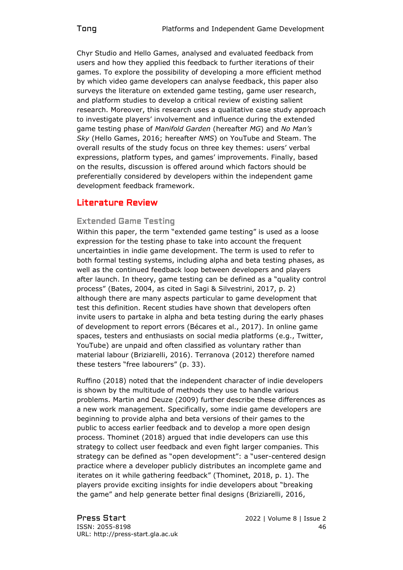Chyr Studio and Hello Games, analysed and evaluated feedback from users and how they applied this feedback to further iterations of their games. To explore the possibility of developing a more efficient method by which video game developers can analyse feedback, this paper also surveys the literature on extended game testing, game user research, and platform studies to develop a critical review of existing salient research. Moreover, this research uses a qualitative case study approach to investigate players' involvement and influence during the extended game testing phase of *Manifold Garden* (hereafter *MG*) and *No Man's Sky* (Hello Games, 2016; hereafter *NMS*) on YouTube and Steam. The overall results of the study focus on three key themes: users' verbal expressions, platform types, and games' improvements. Finally, based on the results, discussion is offered around which factors should be preferentially considered by developers within the independent game development feedback framework.

# Literature Review

#### Extended Game Testing

Within this paper, the term "extended game testing" is used as a loose expression for the testing phase to take into account the frequent uncertainties in indie game development. The term is used to refer to both formal testing systems, including alpha and beta testing phases, as well as the continued feedback loop between developers and players after launch. In theory, game testing can be defined as a "quality control process" (Bates, 2004, as cited in Sagi & Silvestrini, 2017, p. 2) although there are many aspects particular to game development that test this definition. Recent studies have shown that developers often invite users to partake in alpha and beta testing during the early phases of development to report errors (Bécares et al., 2017). In online game spaces, testers and enthusiasts on social media platforms (e.g., Twitter, YouTube) are unpaid and often classified as voluntary rather than material labour (Briziarelli, 2016). Terranova (2012) therefore named these testers "free labourers" (p. 33).

Ruffino (2018) noted that the independent character of indie developers is shown by the multitude of methods they use to handle various problems. Martin and Deuze (2009) further describe these differences as a new work management. Specifically, some indie game developers are beginning to provide alpha and beta versions of their games to the public to access earlier feedback and to develop a more open design process. Thominet (2018) argued that indie developers can use this strategy to collect user feedback and even fight larger companies. This strategy can be defined as "open development": a "user-centered design practice where a developer publicly distributes an incomplete game and iterates on it while gathering feedback" (Thominet, 2018, p. 1). The players provide exciting insights for indie developers about "breaking the game" and help generate better final designs (Briziarelli, 2016,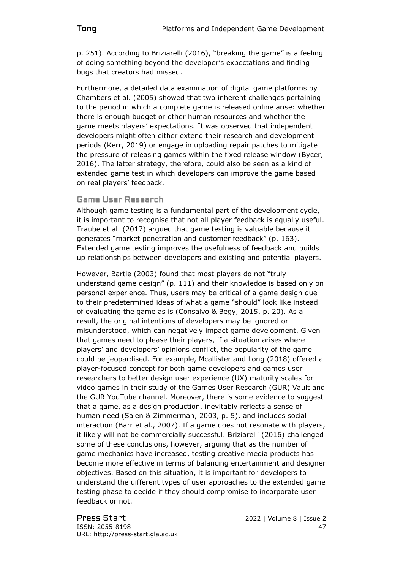p. 251). According to Briziarelli (2016), "breaking the game" is a feeling of doing something beyond the developer's expectations and finding bugs that creators had missed.

Furthermore, a detailed data examination of digital game platforms by Chambers et al. (2005) showed that two inherent challenges pertaining to the period in which a complete game is released online arise: whether there is enough budget or other human resources and whether the game meets players' expectations. It was observed that independent developers might often either extend their research and development periods (Kerr, 2019) or engage in uploading repair patches to mitigate the pressure of releasing games within the fixed release window (Bycer, 2016). The latter strategy, therefore, could also be seen as a kind of extended game test in which developers can improve the game based on real players' feedback.

#### Game User Research

Although game testing is a fundamental part of the development cycle, it is important to recognise that not all player feedback is equally useful. Traube et al. (2017) argued that game testing is valuable because it generates "market penetration and customer feedback" (p. 163). Extended game testing improves the usefulness of feedback and builds up relationships between developers and existing and potential players.

However, Bartle (2003) found that most players do not "truly understand game design" (p. 111) and their knowledge is based only on personal experience. Thus, users may be critical of a game design due to their predetermined ideas of what a game "should" look like instead of evaluating the game as is (Consalvo & Begy, 2015, p. 20). As a result, the original intentions of developers may be ignored or misunderstood, which can negatively impact game development. Given that games need to please their players, if a situation arises where players' and developers' opinions conflict, the popularity of the game could be jeopardised. For example, Mcallister and Long (2018) offered a player-focused concept for both game developers and games user researchers to better design user experience (UX) maturity scales for video games in their study of the Games User Research (GUR) Vault and the GUR YouTube channel. Moreover, there is some evidence to suggest that a game, as a design production, inevitably reflects a sense of human need (Salen & Zimmerman, 2003, p. 5), and includes social interaction (Barr et al., 2007). If a game does not resonate with players, it likely will not be commercially successful. Briziarelli (2016) challenged some of these conclusions, however, arguing that as the number of game mechanics have increased, testing creative media products has become more effective in terms of balancing entertainment and designer objectives. Based on this situation, it is important for developers to understand the different types of user approaches to the extended game testing phase to decide if they should compromise to incorporate user feedback or not.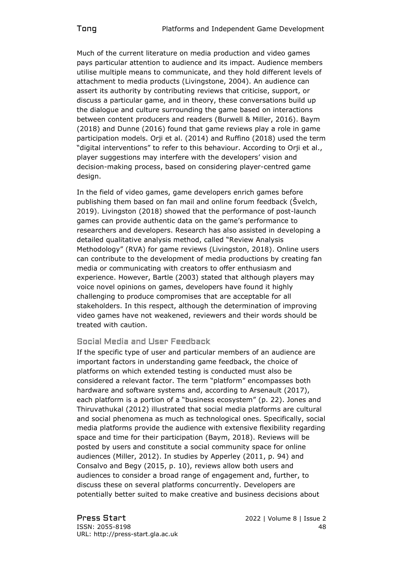Much of the current literature on media production and video games pays particular attention to audience and its impact. Audience members utilise multiple means to communicate, and they hold different levels of attachment to media products (Livingstone, 2004). An audience can assert its authority by contributing reviews that criticise, support, or discuss a particular game, and in theory, these conversations build up the dialogue and culture surrounding the game based on interactions between content producers and readers (Burwell & Miller, 2016). Baym (2018) and Dunne (2016) found that game reviews play a role in game participation models. Orji et al. (2014) and Ruffino (2018) used the term "digital interventions" to refer to this behaviour. According to Orji et al., player suggestions may interfere with the developers' vision and decision-making process, based on considering player-centred game design.

In the field of video games, game developers enrich games before publishing them based on fan mail and online forum feedback (Švelch, 2019). Livingston (2018) showed that the performance of post-launch games can provide authentic data on the game's performance to researchers and developers. Research has also assisted in developing a detailed qualitative analysis method, called "Review Analysis Methodology" (RVA) for game reviews (Livingston, 2018). Online users can contribute to the development of media productions by creating fan media or communicating with creators to offer enthusiasm and experience. However, Bartle (2003) stated that although players may voice novel opinions on games, developers have found it highly challenging to produce compromises that are acceptable for all stakeholders. In this respect, although the determination of improving video games have not weakened, reviewers and their words should be treated with caution.

# Social Media and User Feedback

If the specific type of user and particular members of an audience are important factors in understanding game feedback, the choice of platforms on which extended testing is conducted must also be considered a relevant factor. The term "platform" encompasses both hardware and software systems and, according to Arsenault (2017), each platform is a portion of a "business ecosystem" (p. 22). Jones and Thiruvathukal (2012) illustrated that social media platforms are cultural and social phenomena as much as technological ones. Specifically, social media platforms provide the audience with extensive flexibility regarding space and time for their participation (Baym, 2018). Reviews will be posted by users and constitute a social community space for online audiences (Miller, 2012). In studies by Apperley (2011, p. 94) and Consalvo and Begy (2015, p. 10), reviews allow both users and audiences to consider a broad range of engagement and, further, to discuss these on several platforms concurrently. Developers are potentially better suited to make creative and business decisions about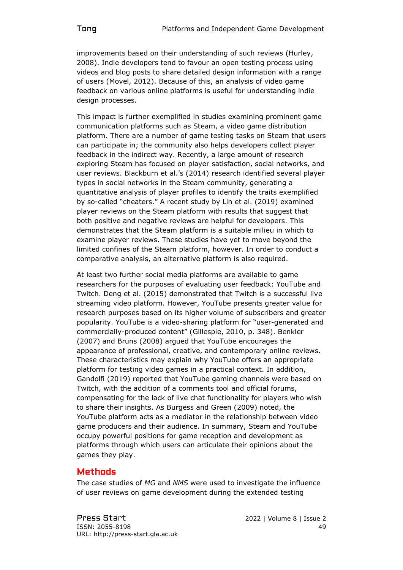improvements based on their understanding of such reviews (Hurley, 2008). Indie developers tend to favour an open testing process using videos and blog posts to share detailed design information with a range of users (Movel, 2012). Because of this, an analysis of video game feedback on various online platforms is useful for understanding indie design processes.

This impact is further exemplified in studies examining prominent game communication platforms such as Steam, a video game distribution platform. There are a number of game testing tasks on Steam that users can participate in; the community also helps developers collect player feedback in the indirect way. Recently, a large amount of research exploring Steam has focused on player satisfaction, social networks, and user reviews. Blackburn et al.'s (2014) research identified several player types in social networks in the Steam community, generating a quantitative analysis of player profiles to identify the traits exemplified by so-called "cheaters." A recent study by Lin et al. (2019) examined player reviews on the Steam platform with results that suggest that both positive and negative reviews are helpful for developers. This demonstrates that the Steam platform is a suitable milieu in which to examine player reviews. These studies have yet to move beyond the limited confines of the Steam platform, however. In order to conduct a comparative analysis, an alternative platform is also required.

At least two further social media platforms are available to game researchers for the purposes of evaluating user feedback: YouTube and Twitch. Deng et al. (2015) demonstrated that Twitch is a successful live streaming video platform. However, YouTube presents greater value for research purposes based on its higher volume of subscribers and greater popularity. YouTube is a video-sharing platform for "user-generated and commercially-produced content" (Gillespie, 2010, p. 348). Benkler (2007) and Bruns (2008) argued that YouTube encourages the appearance of professional, creative, and contemporary online reviews. These characteristics may explain why YouTube offers an appropriate platform for testing video games in a practical context. In addition, Gandolfi (2019) reported that YouTube gaming channels were based on Twitch, with the addition of a comments tool and official forums, compensating for the lack of live chat functionality for players who wish to share their insights. As Burgess and Green (2009) noted, the YouTube platform acts as a mediator in the relationship between video game producers and their audience. In summary, Steam and YouTube occupy powerful positions for game reception and development as platforms through which users can articulate their opinions about the games they play.

# Methods

The case studies of *MG* and *NMS* were used to investigate the influence of user reviews on game development during the extended testing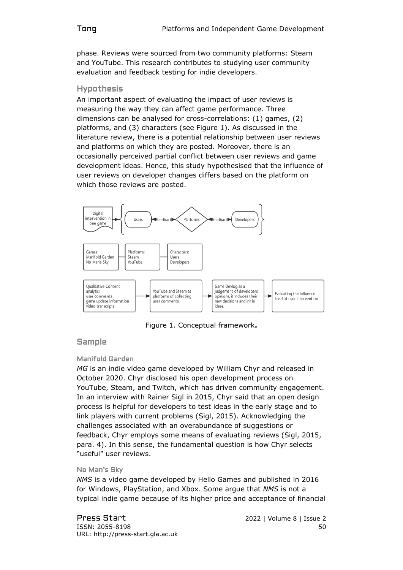phase. Reviews were sourced from two community platforms: Steam and YouTube. This research contributes to studying user community evaluation and feedback testing for indie developers.

#### Hypothesis

An important aspect of evaluating the impact of user reviews is measuring the way they can affect game performance. Three dimensions can be analysed for cross-correlations: (1) games, (2) platforms, and (3) characters (see Figure 1). As discussed in the literature review, there is a potential relationship between user reviews and platforms on which they are posted. Moreover, there is an occasionally perceived partial conflict between user reviews and game development ideas. Hence, this study hypothesised that the influence of user reviews on developer changes differs based on the platform on which those reviews are posted.



Figure 1. Conceptual framework**.**

# Sample

#### Manifold Garden

*MG* is an indie video game developed by William Chyr and released in October 2020. Chyr disclosed his open development process on YouTube, Steam, and Twitch, which has driven community engagement. In an interview with Rainer Sigl in 2015, Chyr said that an open design process is helpful for developers to test ideas in the early stage and to link players with current problems (Sigl, 2015). Acknowledging the challenges associated with an overabundance of suggestions or feedback, Chyr employs some means of evaluating reviews (Sigl, 2015, para. 4). In this sense, the fundamental question is how Chyr selects "useful" user reviews.

#### No Man's Sky

*NMS* is a video game developed by Hello Games and published in 2016 for Windows, PlayStation, and Xbox. Some argue that *NMS* is not a typical indie game because of its higher price and acceptance of financial

Press Start2022 | Volume 8 | Issue 2 **ISSN: 2055-8198** 50 URL: http://press-start.gla.ac.uk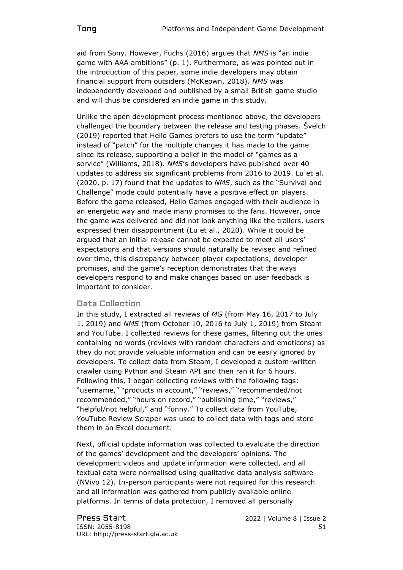aid from Sony. However, Fuchs (2016) argues that *NMS* is "an indie game with AAA ambitions" (p. 1). Furthermore, as was pointed out in the introduction of this paper, some indie developers may obtain financial support from outsiders (McKeown, 2018). *NMS* was independently developed and published by a small British game studio and will thus be considered an indie game in this study.

Unlike the open development process mentioned above, the developers challenged the boundary between the release and testing phases. Švelch (2019) reported that Hello Games prefers to use the term "update" instead of "patch" for the multiple changes it has made to the game since its release, supporting a belief in the model of "games as a service" (Williams, 2018). *NMS*'s developers have published over 40 updates to address six significant problems from 2016 to 2019. Lu et al. (2020, p. 17) found that the updates to *NMS*, such as the "Survival and Challenge" mode could potentially have a positive effect on players. Before the game released, Hello Games engaged with their audience in an energetic way and made many promises to the fans. However, once the game was delivered and did not look anything like the trailers, users expressed their disappointment (Lu et al., 2020). While it could be argued that an initial release cannot be expected to meet all users' expectations and that versions should naturally be revised and refined over time, this discrepancy between player expectations, developer promises, and the game's reception demonstrates that the ways developers respond to and make changes based on user feedback is important to consider.

# Data Collection

In this study, I extracted all reviews of *MG* (from May 16, 2017 to July 1, 2019) and *NMS* (from October 10, 2016 to July 1, 2019) from Steam and YouTube. I collected reviews for these games, filtering out the ones containing no words (reviews with random characters and emoticons) as they do not provide valuable information and can be easily ignored by developers. To collect data from Steam, I developed a custom-written crawler using Python and Steam API and then ran it for 6 hours. Following this, I began collecting reviews with the following tags: "username," "products in account," "reviews," "recommended/not recommended," "hours on record," "publishing time," "reviews," "helpful/not helpful," and "funny." To collect data from YouTube, YouTube Review Scraper was used to collect data with tags and store them in an Excel document.

Next, official update information was collected to evaluate the direction of the games' development and the developers' opinions. The development videos and update information were collected, and all textual data were normalised using qualitative data analysis software (NVivo 12). In-person participants were not required for this research and all information was gathered from publicly available online platforms. In terms of data protection, I removed all personally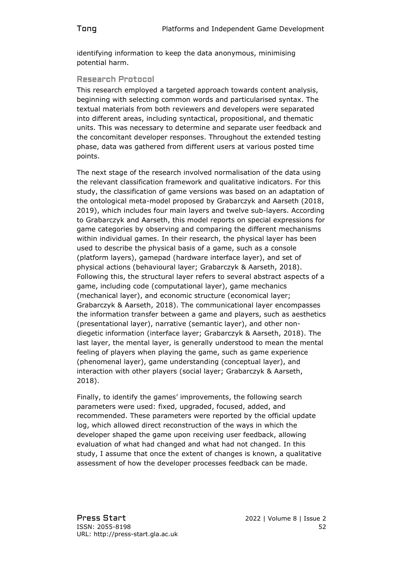identifying information to keep the data anonymous, minimising potential harm.

# Research Protocol

This research employed a targeted approach towards content analysis, beginning with selecting common words and particularised syntax. The textual materials from both reviewers and developers were separated into different areas, including syntactical, propositional, and thematic units. This was necessary to determine and separate user feedback and the concomitant developer responses. Throughout the extended testing phase, data was gathered from different users at various posted time points.

The next stage of the research involved normalisation of the data using the relevant classification framework and qualitative indicators. For this study, the classification of game versions was based on an adaptation of the ontological meta-model proposed by Grabarczyk and Aarseth (2018, 2019), which includes four main layers and twelve sub-layers. According to Grabarczyk and Aarseth, this model reports on special expressions for game categories by observing and comparing the different mechanisms within individual games. In their research, the physical layer has been used to describe the physical basis of a game, such as a console (platform layers), gamepad (hardware interface layer), and set of physical actions (behavioural layer; Grabarczyk & Aarseth, 2018). Following this, the structural layer refers to several abstract aspects of a game, including code (computational layer), game mechanics (mechanical layer), and economic structure (economical layer; Grabarczyk & Aarseth, 2018). The communicational layer encompasses the information transfer between a game and players, such as aesthetics (presentational layer), narrative (semantic layer), and other nondiegetic information (interface layer; Grabarczyk & Aarseth, 2018). The last layer, the mental layer, is generally understood to mean the mental feeling of players when playing the game, such as game experience (phenomenal layer), game understanding (conceptual layer), and interaction with other players (social layer; Grabarczyk & Aarseth, 2018).

Finally, to identify the games' improvements, the following search parameters were used: fixed, upgraded, focused, added, and recommended. These parameters were reported by the official update log, which allowed direct reconstruction of the ways in which the developer shaped the game upon receiving user feedback, allowing evaluation of what had changed and what had not changed. In this study, I assume that once the extent of changes is known, a qualitative assessment of how the developer processes feedback can be made.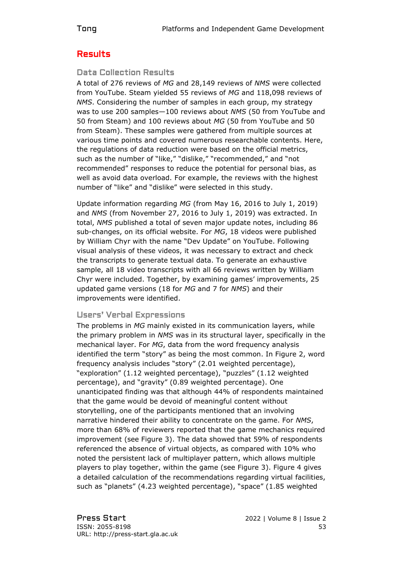# Results

#### Data Collection Results

A total of 276 reviews of *MG* and 28,149 reviews of *NMS* were collected from YouTube. Steam yielded 55 reviews of *MG* and 118,098 reviews of *NMS*. Considering the number of samples in each group, my strategy was to use 200 samples—100 reviews about *NMS* (50 from YouTube and 50 from Steam) and 100 reviews about *MG* (50 from YouTube and 50 from Steam). These samples were gathered from multiple sources at various time points and covered numerous researchable contents. Here, the regulations of data reduction were based on the official metrics, such as the number of "like," "dislike," "recommended," and "not recommended" responses to reduce the potential for personal bias, as well as avoid data overload. For example, the reviews with the highest number of "like" and "dislike" were selected in this study.

Update information regarding *MG* (from May 16, 2016 to July 1, 2019) and *NMS* (from November 27, 2016 to July 1, 2019) was extracted. In total, *NMS* published a total of seven major update notes, including 86 sub-changes, on its official website. For *MG*, 18 videos were published by William Chyr with the name "Dev Update" on YouTube. Following visual analysis of these videos, it was necessary to extract and check the transcripts to generate textual data. To generate an exhaustive sample, all 18 video transcripts with all 66 reviews written by William Chyr were included. Together, by examining games' improvements, 25 updated game versions (18 for *MG* and 7 for *NMS*) and their improvements were identified.

#### Users' Verbal Expressions

The problems in *MG* mainly existed in its communication layers, while the primary problem in *NMS* was in its structural layer, specifically in the mechanical layer. For *MG*, data from the word frequency analysis identified the term "story" as being the most common. In Figure 2, word frequency analysis includes "story" (2.01 weighted percentage), "exploration" (1.12 weighted percentage), "puzzles" (1.12 weighted percentage), and "gravity" (0.89 weighted percentage). One unanticipated finding was that although 44% of respondents maintained that the game would be devoid of meaningful content without storytelling, one of the participants mentioned that an involving narrative hindered their ability to concentrate on the game. For *NMS*, more than 68% of reviewers reported that the game mechanics required improvement (see Figure 3). The data showed that 59% of respondents referenced the absence of virtual objects, as compared with 10% who noted the persistent lack of multiplayer pattern, which allows multiple players to play together, within the game (see Figure 3). Figure 4 gives a detailed calculation of the recommendations regarding virtual facilities, such as "planets" (4.23 weighted percentage), "space" (1.85 weighted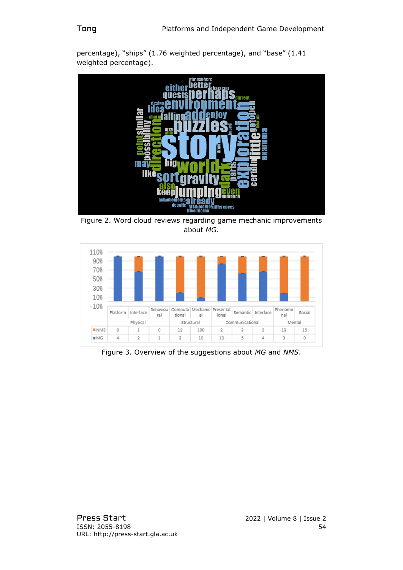

percentage), "ships" (1.76 weighted percentage), and "base" (1.41 weighted percentage).

Figure 2. Word cloud reviews regarding game mechanic improvements about *MG*.



Figure 3. Overview of the suggestions about *MG* and *NMS*.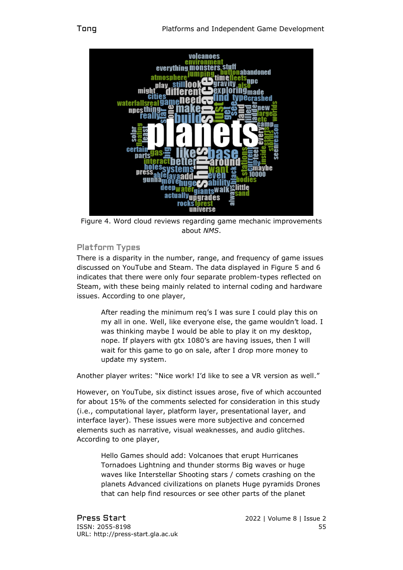

Figure 4. Word cloud reviews regarding game mechanic improvements about *NMS*.

# Platform Types

There is a disparity in the number, range, and frequency of game issues discussed on YouTube and Steam. The data displayed in Figure 5 and 6 indicates that there were only four separate problem-types reflected on Steam, with these being mainly related to internal coding and hardware issues. According to one player,

After reading the minimum req's I was sure I could play this on my all in one. Well, like everyone else, the game wouldn't load. I was thinking maybe I would be able to play it on my desktop, nope. If players with gtx 1080's are having issues, then I will wait for this game to go on sale, after I drop more money to update my system.

Another player writes: "Nice work! I'd like to see a VR version as well."

However, on YouTube, six distinct issues arose, five of which accounted for about 15% of the comments selected for consideration in this study (i.e., computational layer, platform layer, presentational layer, and interface layer). These issues were more subjective and concerned elements such as narrative, visual weaknesses, and audio glitches. According to one player,

Hello Games should add: Volcanoes that erupt Hurricanes Tornadoes Lightning and thunder storms Big waves or huge waves like Interstellar Shooting stars / comets crashing on the planets Advanced civilizations on planets Huge pyramids Drones that can help find resources or see other parts of the planet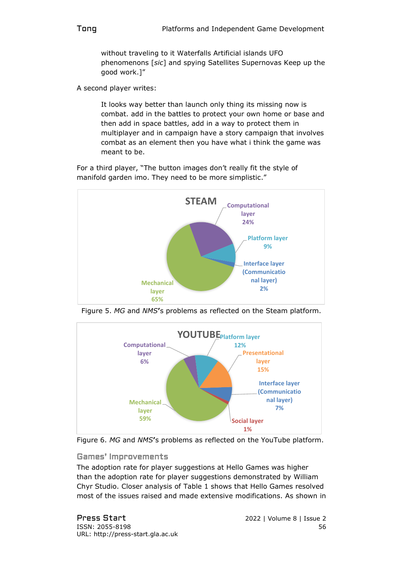without traveling to it Waterfalls Artificial islands UFO phenomenons [*sic*] and spying Satellites Supernovas Keep up the good work.]"

A second player writes:

It looks way better than launch only thing its missing now is combat. add in the battles to protect your own home or base and then add in space battles, add in a way to protect them in multiplayer and in campaign have a story campaign that involves combat as an element then you have what i think the game was meant to be.

For a third player, "The button images don't really fit the style of manifold garden imo. They need to be more simplistic."



Figure 5. *MG* and *NMS***'**s problems as reflected on the Steam platform.





#### Games' Improvements

The adoption rate for player suggestions at Hello Games was higher than the adoption rate for player suggestions demonstrated by William Chyr Studio. Closer analysis of Table 1 shows that Hello Games resolved most of the issues raised and made extensive modifications. As shown in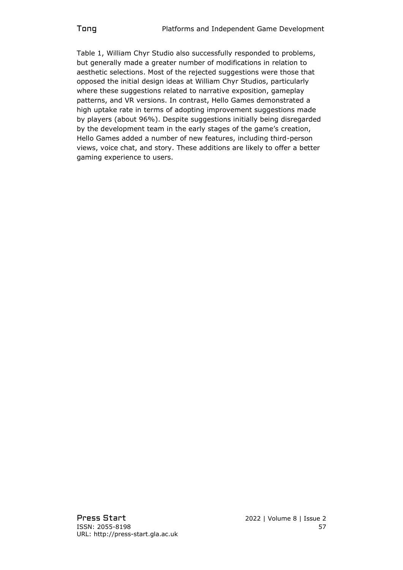Table 1, William Chyr Studio also successfully responded to problems, but generally made a greater number of modifications in relation to aesthetic selections. Most of the rejected suggestions were those that opposed the initial design ideas at William Chyr Studios, particularly where these suggestions related to narrative exposition, gameplay patterns, and VR versions. In contrast, Hello Games demonstrated a high uptake rate in terms of adopting improvement suggestions made by players (about 96%). Despite suggestions initially being disregarded by the development team in the early stages of the game's creation, Hello Games added a number of new features, including third-person views, voice chat, and story. These additions are likely to offer a better gaming experience to users.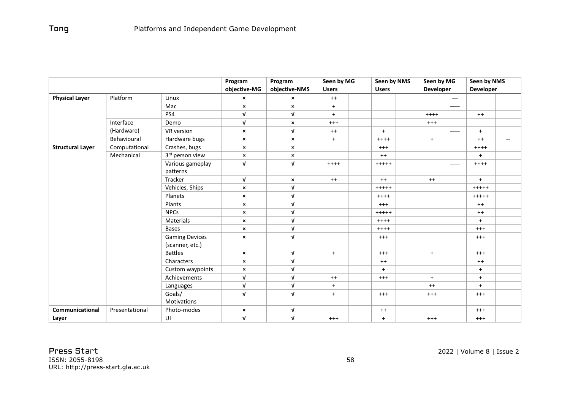|                         |                |                                          | Program                   | Program                   | Seen by MG   |  | Seen by NMS  |  | Seen by MG       |          | Seen by NMS      |                          |
|-------------------------|----------------|------------------------------------------|---------------------------|---------------------------|--------------|--|--------------|--|------------------|----------|------------------|--------------------------|
|                         |                |                                          | objective-MG              | objective-NMS             | <b>Users</b> |  | <b>Users</b> |  | <b>Developer</b> |          | <b>Developer</b> |                          |
| <b>Physical Layer</b>   | Platform       | Linux                                    | $\boldsymbol{\mathsf{x}}$ | $\boldsymbol{\mathsf{x}}$ | $++$         |  |              |  |                  | ---      |                  |                          |
|                         |                | Mac                                      | $\pmb{\times}$            | $\boldsymbol{\mathsf{x}}$ | $+$          |  |              |  |                  | -----    |                  |                          |
|                         |                | PS4                                      | $\sqrt{ }$                | $\sqrt{ }$                | $+$          |  |              |  | $++++$           |          | $^{++}$          |                          |
|                         | Interface      | Demo                                     | $\sqrt{ }$                | $\pmb{\times}$            | $^{+++}$     |  |              |  | $^{+++}$         |          |                  |                          |
|                         | (Hardware)     | VR version                               | $\boldsymbol{\mathsf{x}}$ | $\mathbf{V}$              | $++$         |  | $+$          |  |                  | -----    | $+$              |                          |
|                         | Behavioural    | Hardware bugs                            | $\boldsymbol{\mathsf{x}}$ | $\boldsymbol{\mathsf{x}}$ | $+$          |  | $++++$       |  | $+$              |          | $++$             | $\overline{\phantom{a}}$ |
| <b>Structural Layer</b> | Computational  | Crashes, bugs                            | $\pmb{\times}$            | $\pmb{\times}$            |              |  | $^{+++}$     |  |                  |          | $+++++$          |                          |
|                         | Mechanical     | 3rd person view                          | $\pmb{\times}$            | $\pmb{\times}$            |              |  | $^{++}$      |  |                  |          | $+$              |                          |
|                         |                | Various gameplay<br>patterns             | $\sqrt{ }$                | $\sqrt{ }$                | $++++$       |  | $+++++$      |  |                  | $-----1$ | $++++$           |                          |
|                         |                | Tracker                                  | $\sqrt{ }$                | $\pmb{\times}$            | $^{++}$      |  | $^{++}$      |  | $^{++}$          |          | $+$              |                          |
|                         |                | Vehicles, Ships                          | $\boldsymbol{\mathsf{x}}$ | $\ensuremath{\mathsf{V}}$ |              |  | $+++++$      |  |                  |          | $+++++$          |                          |
|                         |                | Planets                                  | $\boldsymbol{\mathsf{x}}$ | $\sqrt{ }$                |              |  | $++++$       |  |                  |          | $+++++$          |                          |
|                         |                | Plants                                   | $\boldsymbol{\mathsf{x}}$ | $\sqrt{ }$                |              |  | $+++$        |  |                  |          | $++$             |                          |
|                         |                | <b>NPCs</b>                              | $\boldsymbol{\mathsf{x}}$ | $\sqrt{ }$                |              |  | $+++++$      |  |                  |          | $++$             |                          |
|                         |                | Materials                                | $\boldsymbol{\mathsf{x}}$ | $\sqrt{ }$                |              |  | $++++$       |  |                  |          | $+$              |                          |
|                         |                | <b>Bases</b>                             | $\boldsymbol{\mathsf{x}}$ | $\sqrt{ }$                |              |  | $++++$       |  |                  |          | $^{+++}$         |                          |
|                         |                | <b>Gaming Devices</b><br>(scanner, etc.) | $\boldsymbol{\mathsf{x}}$ | $\sqrt{ }$                |              |  | $^{+++}$     |  |                  |          | $^{+++}$         |                          |
|                         |                | <b>Battles</b>                           | $\boldsymbol{\mathsf{x}}$ | $\sqrt{ }$                | $+$          |  | $^{+++}$     |  | $+$              |          | $+++$            |                          |
|                         |                | Characters                               | $\pmb{\times}$            | $\sqrt{ }$                |              |  | $^{++}$      |  |                  |          | $^{++}$          |                          |
|                         |                | Custom waypoints                         | $\boldsymbol{\mathsf{x}}$ | $\sqrt{ }$                |              |  | $+$          |  |                  |          | $+$              |                          |
|                         |                | Achievements                             | $\sqrt{ }$                | $\sqrt{ }$                | $^{++}$      |  | $^{+++}$     |  | $+$              |          | $+$              |                          |
|                         |                | Languages                                | V                         | $\sqrt{ }$                | $+$          |  |              |  | $^{++}$          |          | $+$              |                          |
|                         |                | Goals/                                   | $\sqrt{ }$                | $\sqrt{ }$                | $+$          |  | $^{+++}$     |  | $^{+++}$         |          | $^{+++}$         |                          |
|                         |                | Motivations                              |                           |                           |              |  |              |  |                  |          |                  |                          |
| <b>Communicational</b>  | Presentational | Photo-modes                              | $\times$                  | $\sqrt{ }$                |              |  | $^{++}$      |  |                  |          | $^{+++}$         |                          |
| Layer                   |                | UI                                       | $\mathbf v$               | $\sqrt{ }$                | $+++$        |  | $+$          |  | $^{+++}$         |          | $^{+++}$         |                          |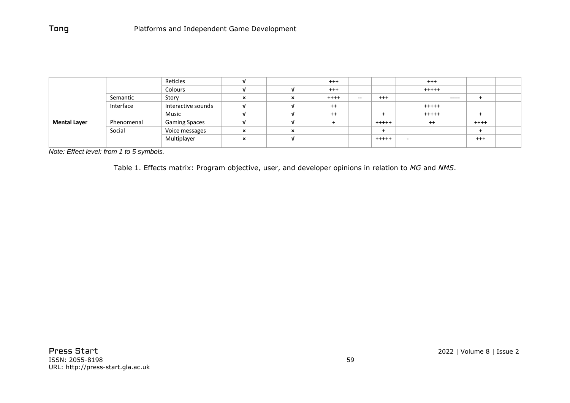|                     |            | Reticles             |                   |                           | $^{+++}$ |       |             | $+++$   |             |          |  |
|---------------------|------------|----------------------|-------------------|---------------------------|----------|-------|-------------|---------|-------------|----------|--|
|                     |            | Colours              |                   |                           | $^{+++}$ |       |             | $+++++$ |             |          |  |
|                     | Semantic   | Story                | ×                 | $\boldsymbol{\mathsf{x}}$ | $++++$   | $- -$ | $^{+++}$    |         | $- - - - -$ |          |  |
|                     | Interface  | Interactive sounds   |                   |                           | $^{++}$  |       |             | $+++++$ |             |          |  |
|                     |            | Music                |                   |                           | $++$     |       |             | $+++++$ |             |          |  |
| <b>Mental Layer</b> | Phenomenal | <b>Gaming Spaces</b> |                   |                           |          |       | $+ + + + +$ | $^{++}$ |             | $++++$   |  |
|                     | Social     | Voice messages       | $\checkmark$<br>́ | $\times$                  |          |       |             |         |             |          |  |
|                     |            | Multiplayer          | $\checkmark$<br>ᄌ | п.                        |          |       | $+++++$     |         |             | $^{+++}$ |  |
|                     |            |                      |                   |                           |          |       |             |         |             |          |  |

*Note: Effect level: from 1 to 5 symbols.*

Table 1. Effects matrix: Program objective, user, and developer opinions in relation to *MG* and *NMS*.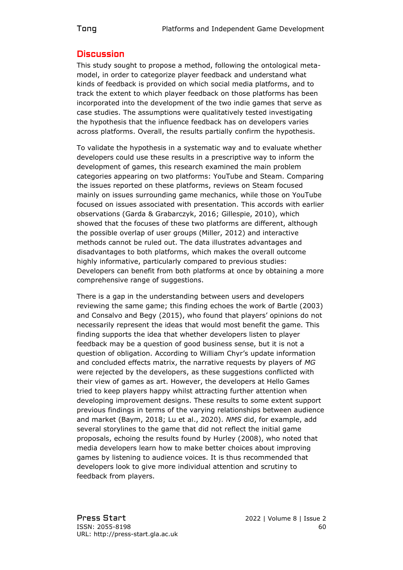#### **Discussion**

This study sought to propose a method, following the ontological metamodel, in order to categorize player feedback and understand what kinds of feedback is provided on which social media platforms, and to track the extent to which player feedback on those platforms has been incorporated into the development of the two indie games that serve as case studies. The assumptions were qualitatively tested investigating the hypothesis that the influence feedback has on developers varies across platforms. Overall, the results partially confirm the hypothesis.

To validate the hypothesis in a systematic way and to evaluate whether developers could use these results in a prescriptive way to inform the development of games, this research examined the main problem categories appearing on two platforms: YouTube and Steam. Comparing the issues reported on these platforms, reviews on Steam focused mainly on issues surrounding game mechanics, while those on YouTube focused on issues associated with presentation. This accords with earlier observations (Garda & Grabarczyk, 2016; Gillespie, 2010), which showed that the focuses of these two platforms are different, although the possible overlap of user groups (Miller, 2012) and interactive methods cannot be ruled out. The data illustrates advantages and disadvantages to both platforms, which makes the overall outcome highly informative, particularly compared to previous studies: Developers can benefit from both platforms at once by obtaining a more comprehensive range of suggestions.

There is a gap in the understanding between users and developers reviewing the same game; this finding echoes the work of Bartle (2003) and Consalvo and Begy (2015), who found that players' opinions do not necessarily represent the ideas that would most benefit the game. This finding supports the idea that whether developers listen to player feedback may be a question of good business sense, but it is not a question of obligation. According to William Chyr's update information and concluded effects matrix, the narrative requests by players of *MG* were rejected by the developers, as these suggestions conflicted with their view of games as art. However, the developers at Hello Games tried to keep players happy whilst attracting further attention when developing improvement designs. These results to some extent support previous findings in terms of the varying relationships between audience and market (Baym, 2018; Lu et al., 2020). *NMS* did, for example, add several storylines to the game that did not reflect the initial game proposals, echoing the results found by Hurley (2008), who noted that media developers learn how to make better choices about improving games by listening to audience voices. It is thus recommended that developers look to give more individual attention and scrutiny to feedback from players.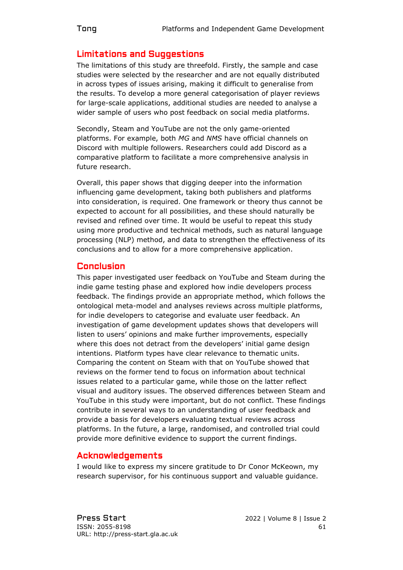# Limitations and Suggestions

The limitations of this study are threefold. Firstly, the sample and case studies were selected by the researcher and are not equally distributed in across types of issues arising, making it difficult to generalise from the results. To develop a more general categorisation of player reviews for large-scale applications, additional studies are needed to analyse a wider sample of users who post feedback on social media platforms.

Secondly, Steam and YouTube are not the only game-oriented platforms. For example, both *MG* and *NMS* have official channels on Discord with multiple followers. Researchers could add Discord as a comparative platform to facilitate a more comprehensive analysis in future research.

Overall, this paper shows that digging deeper into the information influencing game development, taking both publishers and platforms into consideration, is required. One framework or theory thus cannot be expected to account for all possibilities, and these should naturally be revised and refined over time. It would be useful to repeat this study using more productive and technical methods, such as natural language processing (NLP) method, and data to strengthen the effectiveness of its conclusions and to allow for a more comprehensive application.

# Conclusion

This paper investigated user feedback on YouTube and Steam during the indie game testing phase and explored how indie developers process feedback. The findings provide an appropriate method, which follows the ontological meta-model and analyses reviews across multiple platforms, for indie developers to categorise and evaluate user feedback. An investigation of game development updates shows that developers will listen to users' opinions and make further improvements, especially where this does not detract from the developers' initial game design intentions. Platform types have clear relevance to thematic units. Comparing the content on Steam with that on YouTube showed that reviews on the former tend to focus on information about technical issues related to a particular game, while those on the latter reflect visual and auditory issues. The observed differences between Steam and YouTube in this study were important, but do not conflict. These findings contribute in several ways to an understanding of user feedback and provide a basis for developers evaluating textual reviews across platforms. In the future, a large, randomised, and controlled trial could provide more definitive evidence to support the current findings.

# Acknowledgements

I would like to express my sincere gratitude to Dr Conor McKeown, my research supervisor, for his continuous support and valuable guidance.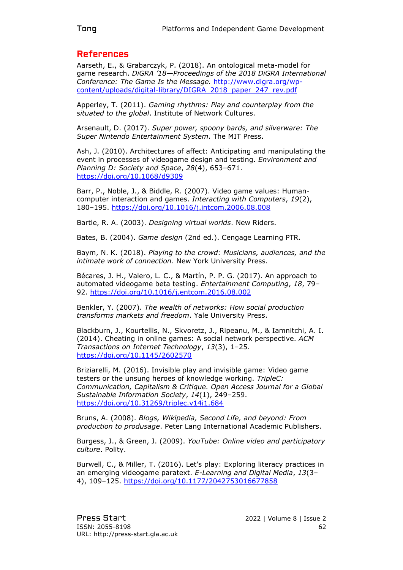# References

Aarseth, E., & Grabarczyk, P. (2018). An ontological meta-model for game research. *DiGRA '18—Proceedings of the 2018 DiGRA International Conference: The Game Is the Message.* [http://www.digra.org/wp](http://www.digra.org/wp-content/uploads/digital-library/DIGRA_2018_paper_247_rev.pdf)[content/uploads/digital-library/DIGRA\\_2018\\_paper\\_247\\_rev.pdf](http://www.digra.org/wp-content/uploads/digital-library/DIGRA_2018_paper_247_rev.pdf)

Apperley, T. (2011). *Gaming rhythms: Play and counterplay from the situated to the global*. Institute of Network Cultures.

Arsenault, D. (2017). *Super power, spoony bards, and silverware: The Super Nintendo Entertainment System*. The MIT Press.

Ash, J. (2010). Architectures of affect: Anticipating and manipulating the event in processes of videogame design and testing. *Environment and Planning D: Society and Space*, *28*(4), 653–671. <https://doi.org/10.1068/d9309>

Barr, P., Noble, J., & Biddle, R. (2007). Video game values: Humancomputer interaction and games. *Interacting with Computers*, *19*(2), 180–195.<https://doi.org/10.1016/j.intcom.2006.08.008>

Bartle, R. A. (2003). *Designing virtual worlds*. New Riders.

Bates, B. (2004). *Game design* (2nd ed.). Cengage Learning PTR.

Baym, N. K. (2018). *Playing to the crowd: Musicians, audiences, and the intimate work of connection*. New York University Press.

Bécares, J. H., Valero, L. C., & Martín, P. P. G. (2017). An approach to automated videogame beta testing. *Entertainment Computing*, *18*, 79– 92.<https://doi.org/10.1016/j.entcom.2016.08.002>

Benkler, Y. (2007). *The wealth of networks: How social production transforms markets and freedom*. Yale University Press.

Blackburn, J., Kourtellis, N., Skvoretz, J., Ripeanu, M., & Iamnitchi, A. I. (2014). Cheating in online games: A social network perspective. *ACM Transactions on Internet Technology*, *13*(3), 1–25. <https://doi.org/10.1145/2602570>

Briziarelli, M. (2016). Invisible play and invisible game: Video game testers or the unsung heroes of knowledge working. *TripleC: Communication, Capitalism & Critique. Open Access Journal for a Global Sustainable Information Society*, *14*(1), 249–259. <https://doi.org/10.31269/triplec.v14i1.684>

Bruns, A. (2008). *Blogs, Wikipedia, Second Life, and beyond: From production to produsage*. Peter Lang International Academic Publishers.

Burgess, J., & Green, J. (2009). *YouTube: Online video and participatory culture*. Polity.

Burwell, C., & Miller, T. (2016). Let's play: Exploring literacy practices in an emerging videogame paratext. *E-Learning and Digital Media*, *13*(3– 4), 109–125.<https://doi.org/10.1177/2042753016677858>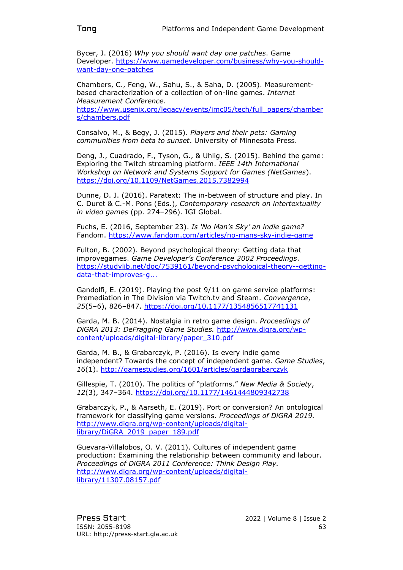Bycer, J. (2016) *Why you should want day one patches*. Game Developer. [https://www.gamedeveloper.com/business/why-you-should](https://www.gamedeveloper.com/business/why-you-should-want-day-one-patches)[want-day-one-patches](https://www.gamedeveloper.com/business/why-you-should-want-day-one-patches)

Chambers, C., Feng, W., Sahu, S., & Saha, D. (2005). Measurementbased characterization of a collection of on-line games. *Internet Measurement Conference.* [https://www.usenix.org/legacy/events/imc05/tech/full\\_papers/chamber](https://www.usenix.org/legacy/events/imc05/tech/full_papers/chambers/chambers.pdf) [s/chambers.pdf](https://www.usenix.org/legacy/events/imc05/tech/full_papers/chambers/chambers.pdf)

Consalvo, M., & Begy, J. (2015). *Players and their pets: Gaming communities from beta to sunset*. University of Minnesota Press.

Deng, J., Cuadrado, F., Tyson, G., & Uhlig, S. (2015). Behind the game: Exploring the Twitch streaming platform. *IEEE 14th International Workshop on Network and Systems Support for Games (NetGames*). <https://doi.org/10.1109/NetGames.2015.7382994>

Dunne, D. J. (2016). Paratext: The in-between of structure and play. In C. Duret & C.-M. Pons (Eds.), *Contemporary research on intertextuality in video games* (pp. 274–296). IGI Global.

Fuchs, E. (2016, September 23). *Is 'No Man's Sky' an indie game?* Fandom.<https://www.fandom.com/articles/no-mans-sky-indie-game>

Fulton, B. (2002). Beyond psychological theory: Getting data that improvegames. *Game Developer's Conference 2002 Proceedings*. [https://studylib.net/doc/7539161/beyond-psychological-theory--getting](https://studylib.net/doc/7539161/beyond-psychological-theory--getting-data-that-improves-g...)[data-that-improves-g...](https://studylib.net/doc/7539161/beyond-psychological-theory--getting-data-that-improves-g...)

Gandolfi, E. (2019). Playing the post 9/11 on game service platforms: Premediation in The Division via Twitch.tv and Steam. *Convergence*, *25*(5–6), 826–847.<https://doi.org/10.1177/1354856517741131>

Garda, M. B. (2014). Nostalgia in retro game design. *Proceedings of DiGRA 2013: DeFragging Game Studies.* [http://www.digra.org/wp](http://www.digra.org/wp-content/uploads/digital-library/paper_310.pdf)[content/uploads/digital-library/paper\\_310.pdf](http://www.digra.org/wp-content/uploads/digital-library/paper_310.pdf)

Garda, M. B., & Grabarczyk, P. (2016). Is every indie game independent? Towards the concept of independent game. *Game Studies*, *16*(1).<http://gamestudies.org/1601/articles/gardagrabarczyk>

Gillespie, T. (2010). The politics of "platforms." *New Media & Society*, *12*(3), 347–364.<https://doi.org/10.1177/1461444809342738>

Grabarczyk, P., & Aarseth, E. (2019). Port or conversion? An ontological framework for classifying game versions. *Proceedings of DiGRA 2019.* [http://www.digra.org/wp-content/uploads/digital](http://www.digra.org/wp-content/uploads/digital-library/DiGRA_2019_paper_189.pdf)[library/DiGRA\\_2019\\_paper\\_189.pdf](http://www.digra.org/wp-content/uploads/digital-library/DiGRA_2019_paper_189.pdf)

Guevara-Villalobos, O. V. (2011). Cultures of independent game production: Examining the relationship between community and labour. *Proceedings of DiGRA 2011 Conference: Think Design Play.* [http://www.digra.org/wp-content/uploads/digital](http://www.digra.org/wp-content/uploads/digital-library/11307.08157.pdf)[library/11307.08157.pdf](http://www.digra.org/wp-content/uploads/digital-library/11307.08157.pdf)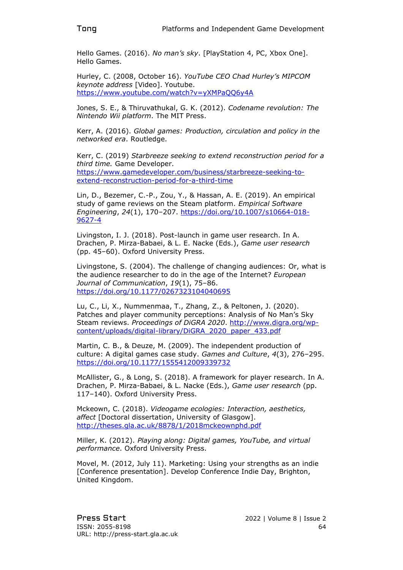Hello Games. (2016). *No man's sky*. [PlayStation 4, PC, Xbox One]. Hello Games.

Hurley, C. (2008, October 16). *YouTube CEO Chad Hurley's MIPCOM keynote address* [Video]. Youtube. <https://www.youtube.com/watch?v=yXMPaQQ6y4A>

Jones, S. E., & Thiruvathukal, G. K. (2012). *Codename revolution: The Nintendo Wii platform*. The MIT Press.

Kerr, A. (2016). *Global games: Production, circulation and policy in the networked era*. Routledge.

Kerr, C. (2019) *Starbreeze seeking to extend reconstruction period for a third time.* Game Developer. [https://www.gamedeveloper.com/business/starbreeze-seeking-to](https://www.gamedeveloper.com/business/starbreeze-seeking-to-extend-reconstruction-period-for-a-third-time)[extend-reconstruction-period-for-a-third-time](https://www.gamedeveloper.com/business/starbreeze-seeking-to-extend-reconstruction-period-for-a-third-time)

Lin, D., Bezemer, C.-P., Zou, Y., & Hassan, A. E. (2019). An empirical study of game reviews on the Steam platform. *Empirical Software Engineering*, *24*(1), 170–207. [https://doi.org/10.1007/s10664-018-](https://doi.org/10.1007/s10664-018-9627-4) [9627-4](https://doi.org/10.1007/s10664-018-9627-4)

Livingston, I. J. (2018). Post-launch in game user research. In A. Drachen, P. Mirza-Babaei, & L. E. Nacke (Eds.), *Game user research* (pp. 45–60). Oxford University Press.

Livingstone, S. (2004). The challenge of changing audiences: Or, what is the audience researcher to do in the age of the Internet? *European Journal of Communication*, *19*(1), 75–86. <https://doi.org/10.1177/0267323104040695>

Lu, C., Li, X., Nummenmaa, T., Zhang, Z., & Peltonen, J. (2020). Patches and player community perceptions: Analysis of No Man's Sky Steam reviews. *Proceedings of DiGRA 2020*. http://www.digra.org/wpcontent/uploads/digital-library/DiGRA\_2020\_paper\_433.pdf

Martin, C. B., & Deuze, M. (2009). The independent production of culture: A digital games case study. *Games and Culture*, *4*(3), 276–295. <https://doi.org/10.1177/1555412009339732>

McAllister, G., & Long, S. (2018). A framework for player research. In A. Drachen, P. Mirza-Babaei, & L. Nacke (Eds.), *Game user research* (pp. 117–140). Oxford University Press.

Mckeown, C. (2018). *Videogame ecologies: Interaction, aesthetics, affect* [Doctoral dissertation, University of Glasgow]. <http://theses.gla.ac.uk/8878/1/2018mckeownphd.pdf>

Miller, K. (2012). *Playing along: Digital games, YouTube, and virtual performance*. Oxford University Press.

Movel, M. (2012, July 11). Marketing: Using your strengths as an indie [Conference presentation]. Develop Conference Indie Day, Brighton, United Kingdom.